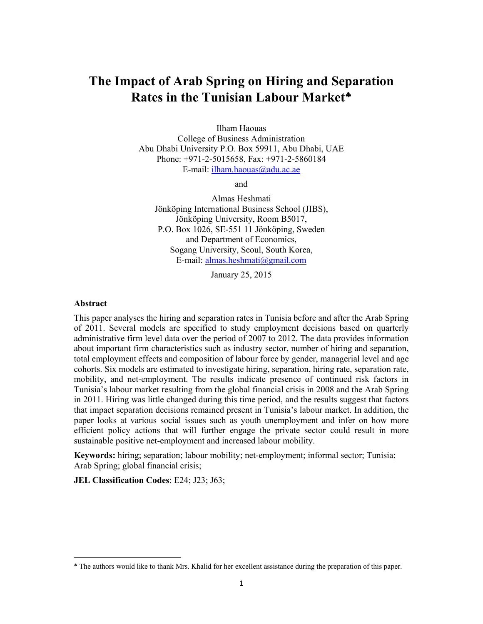# **The Impact of Arab Spring on Hiring and Separation Rates in the Tunisian Labour Market**

Ilham Haouas

College of Business Administration Abu Dhabi University P.O. Box 59911, Abu Dhabi, UAE Phone: +971-2-5015658, Fax: +971-2-5860184 E-mail: ilham.haouas@adu.ac.ae

and

Almas Heshmati Jönköping International Business School (JIBS), Jönköping University, Room B5017, P.O. Box 1026, SE-551 11 Jönköping, Sweden and Department of Economics, Sogang University, Seoul, South Korea, E-mail: almas.heshmati@gmail.com

January 25, 2015

#### **Abstract**

This paper analyses the hiring and separation rates in Tunisia before and after the Arab Spring of 2011. Several models are specified to study employment decisions based on quarterly administrative firm level data over the period of 2007 to 2012. The data provides information about important firm characteristics such as industry sector, number of hiring and separation, total employment effects and composition of labour force by gender, managerial level and age cohorts. Six models are estimated to investigate hiring, separation, hiring rate, separation rate, mobility, and net-employment. The results indicate presence of continued risk factors in Tunisia's labour market resulting from the global financial crisis in 2008 and the Arab Spring in 2011. Hiring was little changed during this time period, and the results suggest that factors that impact separation decisions remained present in Tunisia's labour market. In addition, the paper looks at various social issues such as youth unemployment and infer on how more efficient policy actions that will further engage the private sector could result in more sustainable positive net-employment and increased labour mobility.

**Keywords:** hiring; separation; labour mobility; net-employment; informal sector; Tunisia; Arab Spring; global financial crisis;

**JEL Classification Codes**: E24; J23; J63;

The authors would like to thank Mrs. Khalid for her excellent assistance during the preparation of this paper.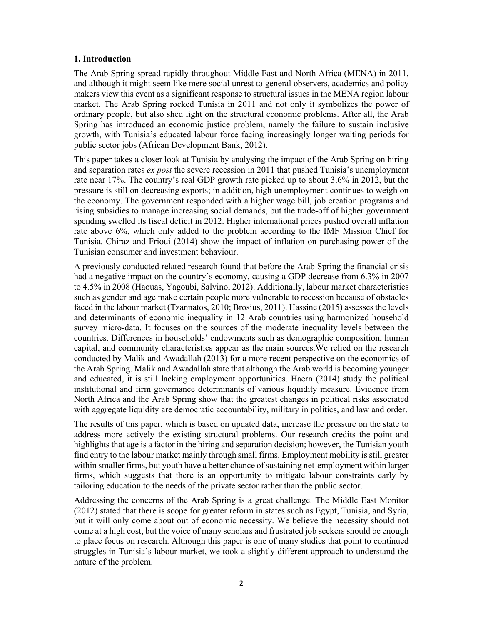### **1. Introduction**

The Arab Spring spread rapidly throughout Middle East and North Africa (MENA) in 2011, and although it might seem like mere social unrest to general observers, academics and policy makers view this event as a significant response to structural issues in the MENA region labour market. The Arab Spring rocked Tunisia in 2011 and not only it symbolizes the power of ordinary people, but also shed light on the structural economic problems. After all, the Arab Spring has introduced an economic justice problem, namely the failure to sustain inclusive growth, with Tunisia's educated labour force facing increasingly longer waiting periods for public sector jobs (African Development Bank, 2012).

This paper takes a closer look at Tunisia by analysing the impact of the Arab Spring on hiring and separation rates *ex post* the severe recession in 2011 that pushed Tunisia's unemployment rate near 17%. The country's real GDP growth rate picked up to about 3.6% in 2012, but the pressure is still on decreasing exports; in addition, high unemployment continues to weigh on the economy. The government responded with a higher wage bill, job creation programs and rising subsidies to manage increasing social demands, but the trade-off of higher government spending swelled its fiscal deficit in 2012. Higher international prices pushed overall inflation rate above 6%, which only added to the problem according to the IMF Mission Chief for Tunisia. Chiraz and Frioui (2014) show the impact of inflation on purchasing power of the Tunisian consumer and investment behaviour.

A previously conducted related research found that before the Arab Spring the financial crisis had a negative impact on the country's economy, causing a GDP decrease from 6.3% in 2007 to 4.5% in 2008 (Haouas, Yagoubi, Salvino, 2012). Additionally, labour market characteristics such as gender and age make certain people more vulnerable to recession because of obstacles faced in the labour market (Tzannatos, 2010; Brosius, 2011). Hassine (2015) assesses the levels and determinants of economic inequality in 12 Arab countries using harmonized household survey micro-data. It focuses on the sources of the moderate inequality levels between the countries. Differences in households' endowments such as demographic composition, human capital, and community characteristics appear as the main sources.We relied on the research conducted by Malik and Awadallah (2013) for a more recent perspective on the economics of the Arab Spring. Malik and Awadallah state that although the Arab world is becoming younger and educated, it is still lacking employment opportunities. Haern (2014) study the political institutional and firm governance determinants of various liquidity measure. Evidence from North Africa and the Arab Spring show that the greatest changes in political risks associated with aggregate liquidity are democratic accountability, military in politics, and law and order.

The results of this paper, which is based on updated data, increase the pressure on the state to address more actively the existing structural problems. Our research credits the point and highlights that age is a factor in the hiring and separation decision; however, the Tunisian youth find entry to the labour market mainly through small firms. Employment mobility is still greater within smaller firms, but youth have a better chance of sustaining net-employment within larger firms, which suggests that there is an opportunity to mitigate labour constraints early by tailoring education to the needs of the private sector rather than the public sector.

Addressing the concerns of the Arab Spring is a great challenge. The Middle East Monitor (2012) stated that there is scope for greater reform in states such as Egypt, Tunisia, and Syria, but it will only come about out of economic necessity. We believe the necessity should not come at a high cost, but the voice of many scholars and frustrated job seekers should be enough to place focus on research. Although this paper is one of many studies that point to continued struggles in Tunisia's labour market, we took a slightly different approach to understand the nature of the problem.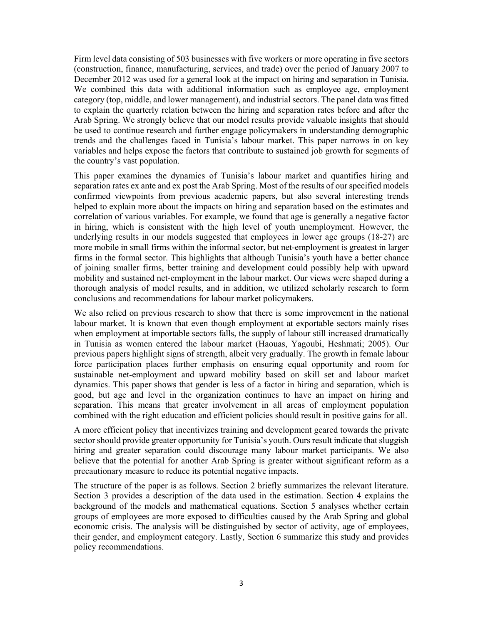Firm level data consisting of 503 businesses with five workers or more operating in five sectors (construction, finance, manufacturing, services, and trade) over the period of January 2007 to December 2012 was used for a general look at the impact on hiring and separation in Tunisia. We combined this data with additional information such as employee age, employment category (top, middle, and lower management), and industrial sectors. The panel data was fitted to explain the quarterly relation between the hiring and separation rates before and after the Arab Spring. We strongly believe that our model results provide valuable insights that should be used to continue research and further engage policymakers in understanding demographic trends and the challenges faced in Tunisia's labour market. This paper narrows in on key variables and helps expose the factors that contribute to sustained job growth for segments of the country's vast population.

This paper examines the dynamics of Tunisia's labour market and quantifies hiring and separation rates ex ante and ex post the Arab Spring. Most of the results of our specified models confirmed viewpoints from previous academic papers, but also several interesting trends helped to explain more about the impacts on hiring and separation based on the estimates and correlation of various variables. For example, we found that age is generally a negative factor in hiring, which is consistent with the high level of youth unemployment. However, the underlying results in our models suggested that employees in lower age groups (18-27) are more mobile in small firms within the informal sector, but net-employment is greatest in larger firms in the formal sector. This highlights that although Tunisia's youth have a better chance of joining smaller firms, better training and development could possibly help with upward mobility and sustained net-employment in the labour market. Our views were shaped during a thorough analysis of model results, and in addition, we utilized scholarly research to form conclusions and recommendations for labour market policymakers.

We also relied on previous research to show that there is some improvement in the national labour market. It is known that even though employment at exportable sectors mainly rises when employment at importable sectors falls, the supply of labour still increased dramatically in Tunisia as women entered the labour market (Haouas, Yagoubi, Heshmati; 2005). Our previous papers highlight signs of strength, albeit very gradually. The growth in female labour force participation places further emphasis on ensuring equal opportunity and room for sustainable net-employment and upward mobility based on skill set and labour market dynamics. This paper shows that gender is less of a factor in hiring and separation, which is good, but age and level in the organization continues to have an impact on hiring and separation. This means that greater involvement in all areas of employment population combined with the right education and efficient policies should result in positive gains for all.

A more efficient policy that incentivizes training and development geared towards the private sector should provide greater opportunity for Tunisia's youth. Ours result indicate that sluggish hiring and greater separation could discourage many labour market participants. We also believe that the potential for another Arab Spring is greater without significant reform as a precautionary measure to reduce its potential negative impacts.

The structure of the paper is as follows. Section 2 briefly summarizes the relevant literature. Section 3 provides a description of the data used in the estimation. Section 4 explains the background of the models and mathematical equations. Section 5 analyses whether certain groups of employees are more exposed to difficulties caused by the Arab Spring and global economic crisis. The analysis will be distinguished by sector of activity, age of employees, their gender, and employment category. Lastly, Section 6 summarize this study and provides policy recommendations.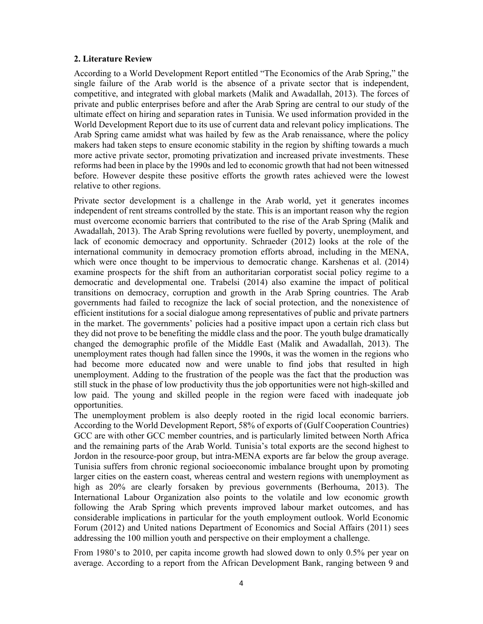### **2. Literature Review**

According to a World Development Report entitled "The Economics of the Arab Spring," the single failure of the Arab world is the absence of a private sector that is independent, competitive, and integrated with global markets (Malik and Awadallah, 2013). The forces of private and public enterprises before and after the Arab Spring are central to our study of the ultimate effect on hiring and separation rates in Tunisia. We used information provided in the World Development Report due to its use of current data and relevant policy implications. The Arab Spring came amidst what was hailed by few as the Arab renaissance, where the policy makers had taken steps to ensure economic stability in the region by shifting towards a much more active private sector, promoting privatization and increased private investments. These reforms had been in place by the 1990s and led to economic growth that had not been witnessed before. However despite these positive efforts the growth rates achieved were the lowest relative to other regions.

Private sector development is a challenge in the Arab world, yet it generates incomes independent of rent streams controlled by the state. This is an important reason why the region must overcome economic barriers that contributed to the rise of the Arab Spring (Malik and Awadallah, 2013). The Arab Spring revolutions were fuelled by poverty, unemployment, and lack of economic democracy and opportunity. Schraeder (2012) looks at the role of the international community in democracy promotion efforts abroad, including in the MENA, which were once thought to be impervious to democratic change. Karshenas et al. (2014) examine prospects for the shift from an authoritarian corporatist social policy regime to a democratic and developmental one. Trabelsi (2014) also examine the impact of political transitions on democracy, corruption and growth in the Arab Spring countries. The Arab governments had failed to recognize the lack of social protection, and the nonexistence of efficient institutions for a social dialogue among representatives of public and private partners in the market. The governments' policies had a positive impact upon a certain rich class but they did not prove to be benefiting the middle class and the poor. The youth bulge dramatically changed the demographic profile of the Middle East (Malik and Awadallah, 2013). The unemployment rates though had fallen since the 1990s, it was the women in the regions who had become more educated now and were unable to find jobs that resulted in high unemployment. Adding to the frustration of the people was the fact that the production was still stuck in the phase of low productivity thus the job opportunities were not high-skilled and low paid. The young and skilled people in the region were faced with inadequate job opportunities.

The unemployment problem is also deeply rooted in the rigid local economic barriers. According to the World Development Report, 58% of exports of (Gulf Cooperation Countries) GCC are with other GCC member countries, and is particularly limited between North Africa and the remaining parts of the Arab World. Tunisia's total exports are the second highest to Jordon in the resource-poor group, but intra-MENA exports are far below the group average. Tunisia suffers from chronic regional socioeconomic imbalance brought upon by promoting larger cities on the eastern coast, whereas central and western regions with unemployment as high as 20% are clearly forsaken by previous governments (Berhouma, 2013). The International Labour Organization also points to the volatile and low economic growth following the Arab Spring which prevents improved labour market outcomes, and has considerable implications in particular for the youth employment outlook. World Economic Forum (2012) and United nations Department of Economics and Social Affairs (2011) sees addressing the 100 million youth and perspective on their employment a challenge.

From 1980's to 2010, per capita income growth had slowed down to only 0.5% per year on average. According to a report from the African Development Bank, ranging between 9 and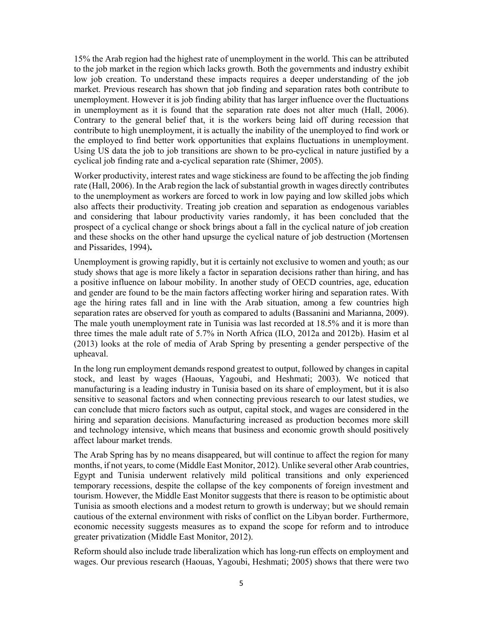15% the Arab region had the highest rate of unemployment in the world. This can be attributed to the job market in the region which lacks growth. Both the governments and industry exhibit low job creation. To understand these impacts requires a deeper understanding of the job market. Previous research has shown that job finding and separation rates both contribute to unemployment. However it is job finding ability that has larger influence over the fluctuations in unemployment as it is found that the separation rate does not alter much (Hall, 2006). Contrary to the general belief that, it is the workers being laid off during recession that contribute to high unemployment, it is actually the inability of the unemployed to find work or the employed to find better work opportunities that explains fluctuations in unemployment. Using US data the job to job transitions are shown to be pro-cyclical in nature justified by a cyclical job finding rate and a-cyclical separation rate (Shimer, 2005).

Worker productivity, interest rates and wage stickiness are found to be affecting the job finding rate (Hall, 2006). In the Arab region the lack of substantial growth in wages directly contributes to the unemployment as workers are forced to work in low paying and low skilled jobs which also affects their productivity. Treating job creation and separation as endogenous variables and considering that labour productivity varies randomly, it has been concluded that the prospect of a cyclical change or shock brings about a fall in the cyclical nature of job creation and these shocks on the other hand upsurge the cyclical nature of job destruction (Mortensen and Pissarides, 1994)**.**

Unemployment is growing rapidly, but it is certainly not exclusive to women and youth; as our study shows that age is more likely a factor in separation decisions rather than hiring, and has a positive influence on labour mobility. In another study of OECD countries, age, education and gender are found to be the main factors affecting worker hiring and separation rates. With age the hiring rates fall and in line with the Arab situation, among a few countries high separation rates are observed for youth as compared to adults (Bassanini and Marianna, 2009). The male youth unemployment rate in Tunisia was last recorded at 18.5% and it is more than three times the male adult rate of 5.7% in North Africa (ILO, 2012a and 2012b). Hasim et al (2013) looks at the role of media of Arab Spring by presenting a gender perspective of the upheaval.

In the long run employment demands respond greatest to output, followed by changes in capital stock, and least by wages (Haouas, Yagoubi, and Heshmati; 2003). We noticed that manufacturing is a leading industry in Tunisia based on its share of employment, but it is also sensitive to seasonal factors and when connecting previous research to our latest studies, we can conclude that micro factors such as output, capital stock, and wages are considered in the hiring and separation decisions. Manufacturing increased as production becomes more skill and technology intensive, which means that business and economic growth should positively affect labour market trends.

The Arab Spring has by no means disappeared, but will continue to affect the region for many months, if not years, to come (Middle East Monitor, 2012). Unlike several other Arab countries, Egypt and Tunisia underwent relatively mild political transitions and only experienced temporary recessions, despite the collapse of the key components of foreign investment and tourism. However, the Middle East Monitor suggests that there is reason to be optimistic about Tunisia as smooth elections and a modest return to growth is underway; but we should remain cautious of the external environment with risks of conflict on the Libyan border. Furthermore, economic necessity suggests measures as to expand the scope for reform and to introduce greater privatization (Middle East Monitor, 2012).

Reform should also include trade liberalization which has long-run effects on employment and wages. Our previous research (Haouas, Yagoubi, Heshmati; 2005) shows that there were two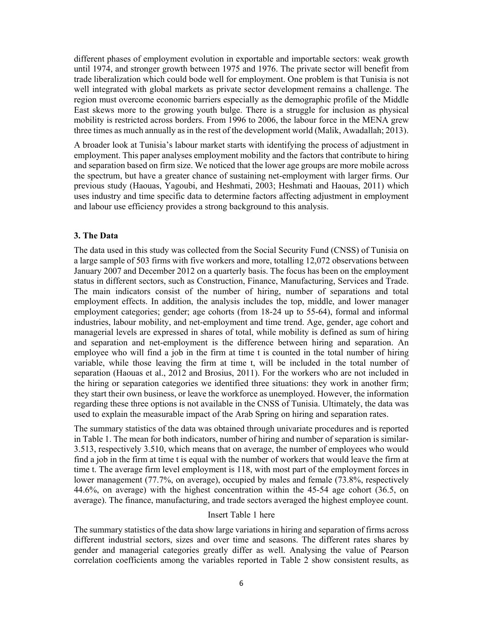different phases of employment evolution in exportable and importable sectors: weak growth until 1974, and stronger growth between 1975 and 1976. The private sector will benefit from trade liberalization which could bode well for employment. One problem is that Tunisia is not well integrated with global markets as private sector development remains a challenge. The region must overcome economic barriers especially as the demographic profile of the Middle East skews more to the growing youth bulge. There is a struggle for inclusion as physical mobility is restricted across borders. From 1996 to 2006, the labour force in the MENA grew three times as much annually as in the rest of the development world (Malik, Awadallah; 2013).

A broader look at Tunisia's labour market starts with identifying the process of adjustment in employment. This paper analyses employment mobility and the factors that contribute to hiring and separation based on firm size. We noticed that the lower age groups are more mobile across the spectrum, but have a greater chance of sustaining net-employment with larger firms. Our previous study (Haouas, Yagoubi, and Heshmati, 2003; Heshmati and Haouas, 2011) which uses industry and time specific data to determine factors affecting adjustment in employment and labour use efficiency provides a strong background to this analysis.

#### **3. The Data**

The data used in this study was collected from the Social Security Fund (CNSS) of Tunisia on a large sample of 503 firms with five workers and more, totalling 12,072 observations between January 2007 and December 2012 on a quarterly basis. The focus has been on the employment status in different sectors, such as Construction, Finance, Manufacturing, Services and Trade. The main indicators consist of the number of hiring, number of separations and total employment effects. In addition, the analysis includes the top, middle, and lower manager employment categories; gender; age cohorts (from 18-24 up to 55-64), formal and informal industries, labour mobility, and net-employment and time trend. Age, gender, age cohort and managerial levels are expressed in shares of total, while mobility is defined as sum of hiring and separation and net-employment is the difference between hiring and separation. An employee who will find a job in the firm at time t is counted in the total number of hiring variable, while those leaving the firm at time t, will be included in the total number of separation (Haouas et al., 2012 and Brosius, 2011). For the workers who are not included in the hiring or separation categories we identified three situations: they work in another firm; they start their own business, or leave the workforce as unemployed. However, the information regarding these three options is not available in the CNSS of Tunisia. Ultimately, the data was used to explain the measurable impact of the Arab Spring on hiring and separation rates.

The summary statistics of the data was obtained through univariate procedures and is reported in Table 1. The mean for both indicators, number of hiring and number of separation is similar-3.513, respectively 3.510, which means that on average, the number of employees who would find a job in the firm at time t is equal with the number of workers that would leave the firm at time t. The average firm level employment is 118, with most part of the employment forces in lower management (77.7%, on average), occupied by males and female (73.8%, respectively 44.6%, on average) with the highest concentration within the 45-54 age cohort (36.5, on average). The finance, manufacturing, and trade sectors averaged the highest employee count.

#### Insert Table 1 here

The summary statistics of the data show large variations in hiring and separation of firms across different industrial sectors, sizes and over time and seasons. The different rates shares by gender and managerial categories greatly differ as well. Analysing the value of Pearson correlation coefficients among the variables reported in Table 2 show consistent results, as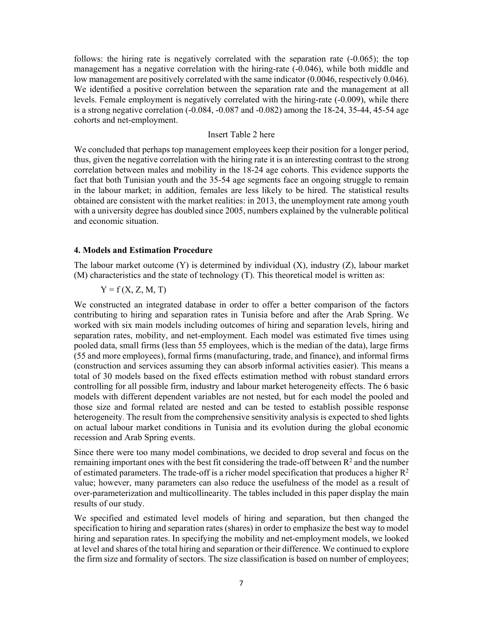follows: the hiring rate is negatively correlated with the separation rate (-0.065); the top management has a negative correlation with the hiring-rate (-0.046), while both middle and low management are positively correlated with the same indicator (0.0046, respectively 0.046). We identified a positive correlation between the separation rate and the management at all levels. Female employment is negatively correlated with the hiring-rate (-0.009), while there is a strong negative correlation (-0.084, -0.087 and -0.082) among the 18-24, 35-44, 45-54 age cohorts and net-employment.

#### Insert Table 2 here

We concluded that perhaps top management employees keep their position for a longer period, thus, given the negative correlation with the hiring rate it is an interesting contrast to the strong correlation between males and mobility in the 18-24 age cohorts. This evidence supports the fact that both Tunisian youth and the 35-54 age segments face an ongoing struggle to remain in the labour market; in addition, females are less likely to be hired. The statistical results obtained are consistent with the market realities: in 2013, the unemployment rate among youth with a university degree has doubled since 2005, numbers explained by the vulnerable political and economic situation.

#### **4. Models and Estimation Procedure**

The labour market outcome  $(Y)$  is determined by individual  $(X)$ , industry  $(Z)$ , labour market (M) characteristics and the state of technology (T). This theoretical model is written as:

## $Y = f(X, Z, M, T)$

We constructed an integrated database in order to offer a better comparison of the factors contributing to hiring and separation rates in Tunisia before and after the Arab Spring. We worked with six main models including outcomes of hiring and separation levels, hiring and separation rates, mobility, and net-employment. Each model was estimated five times using pooled data, small firms (less than 55 employees, which is the median of the data), large firms (55 and more employees), formal firms (manufacturing, trade, and finance), and informal firms (construction and services assuming they can absorb informal activities easier). This means a total of 30 models based on the fixed effects estimation method with robust standard errors controlling for all possible firm, industry and labour market heterogeneity effects. The 6 basic models with different dependent variables are not nested, but for each model the pooled and those size and formal related are nested and can be tested to establish possible response heterogeneity. The result from the comprehensive sensitivity analysis is expected to shed lights on actual labour market conditions in Tunisia and its evolution during the global economic recession and Arab Spring events.

Since there were too many model combinations, we decided to drop several and focus on the remaining important ones with the best fit considering the trade-off between  $R<sup>2</sup>$  and the number of estimated parameters. The trade-off is a richer model specification that produces a higher  $R^2$ value; however, many parameters can also reduce the usefulness of the model as a result of over-parameterization and multicollinearity. The tables included in this paper display the main results of our study.

We specified and estimated level models of hiring and separation, but then changed the specification to hiring and separation rates (shares) in order to emphasize the best way to model hiring and separation rates. In specifying the mobility and net-employment models, we looked at level and shares of the total hiring and separation or their difference. We continued to explore the firm size and formality of sectors. The size classification is based on number of employees;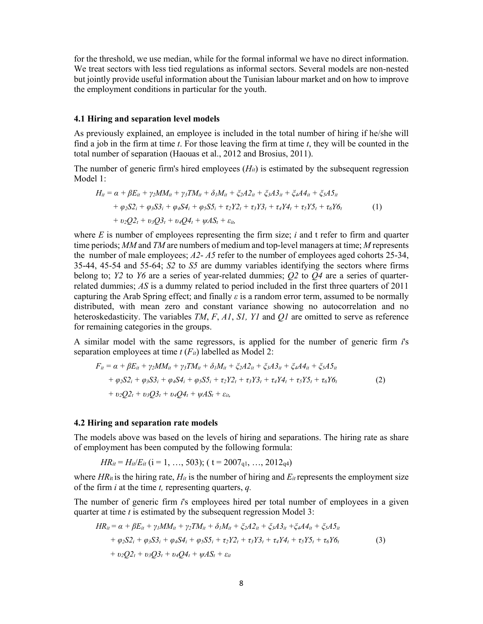for the threshold, we use median, while for the formal informal we have no direct information. We treat sectors with less tied regulations as informal sectors. Several models are non-nested but jointly provide useful information about the Tunisian labour market and on how to improve the employment conditions in particular for the youth.

#### **4.1 Hiring and separation level models**

As previously explained, an employee is included in the total number of hiring if he/she will find a job in the firm at time  $t$ . For those leaving the firm at time  $t$ , they will be counted in the total number of separation (Haouas et al., 2012 and Brosius, 2011).

The number of generic firm's hired employees  $(H_{it})$  is estimated by the subsequent regression Model 1:

$$
H_{it} = \alpha + \beta E_{it} + \gamma_2 M M_{it} + \gamma_3 T M_{it} + \delta_1 M_{it} + \xi_2 A 2_{it} + \xi_3 A 3_{it} + \xi_4 A 4_{it} + \xi_5 A 5_{it} + \varphi_2 S 2_i + \varphi_3 S 3_i + \varphi_4 S 4_i + \varphi_5 S 5_i + \tau_2 Y 2_t + \tau_3 Y 3_t + \tau_4 Y 4_t + \tau_5 Y 5_t + \tau_6 Y 6_t + \upsilon_2 Q 2_t + \upsilon_3 Q 3_t + \upsilon_4 Q 4_t + \psi A S_t + \varepsilon_{it},
$$
\n(1)

where *E* is number of employees representing the firm size; *i* and t refer to firm and quarter time periods; *MM* and *TM* are numbers of medium and top-level managers at time; *M* represents the number of male employees; *A2*- *A5* refer to the number of employees aged cohorts 25-34, 35-44, 45-54 and 55-64; *S2* to *S5* are dummy variables identifying the sectors where firms belong to; *Y2* to *Y6* are a series of year-related dummies; *Q2* to *Q4* are a series of quarterrelated dummies; *AS* is a dummy related to period included in the first three quarters of 2011 capturing the Arab Spring effect; and finally *ε* is a random error term, assumed to be normally distributed, with mean zero and constant variance showing no autocorrelation and no heteroskedasticity. The variables *TM*, *F*, *A1*, *S1, Y1* and *Q1* are omitted to serve as reference for remaining categories in the groups.

A similar model with the same regressors, is applied for the number of generic firm *i*'s separation employees at time  $t(F_{it})$  labelled as Model 2:

$$
F_{it} = \alpha + \beta E_{it} + \gamma_2 M M_{it} + \gamma_3 T M_{it} + \delta_l M_{it} + \xi_2 A 2_{it} + \xi_3 A 3_{it} + \xi_4 A 4_{it} + \xi_5 A 5_{it}
$$
  
+  $\varphi_2 S 2_i + \varphi_3 S 3_i + \varphi_4 S 4_i + \varphi_5 S 5_i + \tau_2 Y 2_t + \tau_3 Y 3_t + \tau_4 Y 4_t + \tau_5 Y 5_t + \tau_6 Y 6_t$   
+  $\upsilon_2 Q 2_t + \upsilon_3 Q 3_t + \upsilon_4 Q 4_t + \psi A S_t + \varepsilon_{it},$  (2)

#### **4.2 Hiring and separation rate models**

The models above was based on the levels of hiring and separations. The hiring rate as share of employment has been computed by the following formula:

$$
HR_{it} = H_{it}/E_{it} \ (i = 1, \ldots, 503); \ (t = 2007_{q1}, \ldots, 2012_{q4})
$$

where  $HR_{it}$  is the hiring rate,  $H_{it}$  is the number of hiring and  $E_{it}$  represents the employment size of the firm *i* at the time *t,* representing quarters, *q.* 

The number of generic firm *i*'s employees hired per total number of employees in a given quarter at time *t* is estimated by the subsequent regression Model 3:

$$
HR_{it} = \alpha + \beta E_{it} + \gamma_l MM_{it} + \gamma_2 TM_{it} + \delta_l M_{it} + \xi_2 A 2_{it} + \xi_3 A 3_{it} + \xi_4 A 4_{it} + \xi_5 A 5_{it}
$$
  
+  $\varphi_2 S 2_i + \varphi_3 S 3_i + \varphi_4 S 4_i + \varphi_5 S 5_i + \tau_2 Y 2_t + \tau_3 Y 3_t + \tau_4 Y 4_t + \tau_5 Y 5_t + \tau_6 Y 6_t$   
+  $\upsilon_2 Q 2_t + \upsilon_3 Q 3_t + \upsilon_4 Q 4_t + \psi A S_t + \varepsilon_{it}$  (3)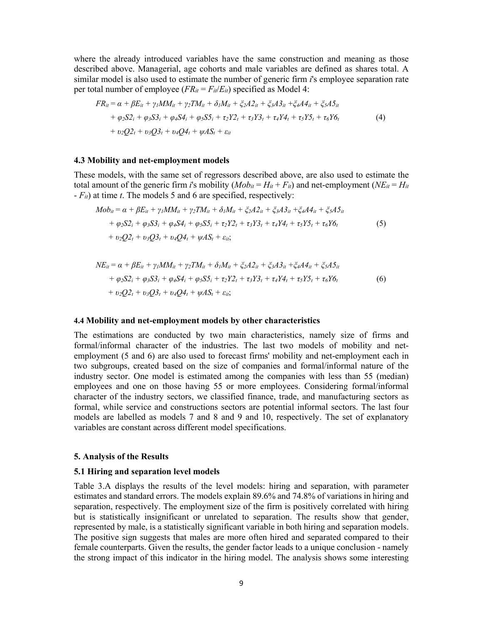where the already introduced variables have the same construction and meaning as those described above. Managerial, age cohorts and male variables are defined as shares total. A similar model is also used to estimate the number of generic firm *i*'s employee separation rate per total number of employee  $(FR_{it} = F_{it}/E_{it})$  specified as Model 4:

$$
FR_{it} = \alpha + \beta E_{it} + \gamma_l M M_{it} + \gamma_2 T M_{it} + \delta_l M_{it} + \zeta_2 A 2_{it} + \zeta_3 A 3_{it} + \zeta_4 A 4_{it} + \zeta_5 A 5_{it} + \varphi_2 S 2_{i} + \varphi_3 S 3_{i} + \varphi_4 S 4_{i} + \varphi_5 S 5_{i} + \tau_2 Y 2_{t} + \tau_3 Y 3_{t} + \tau_4 Y 4_{t} + \tau_5 Y 5_{t} + \tau_6 Y 6_{t} + \upsilon_2 Q 2_{t} + \upsilon_3 Q 3_{t} + \upsilon_4 Q 4_{t} + \psi A S_{t} + \varepsilon_{it}
$$
\n(4)

#### **4.3 Mobility and net-employment models**

These models, with the same set of regressors described above, are also used to estimate the total amount of the generic firm *i*'s mobility  $(Mob_{it} = H_{it} + Fu)$  and net-employment  $(NE_{it} = H_{it} + Fu)$ - *Fit*) at time *t*. The models 5 and 6 are specified, respectively:

$$
Mob_{it} = \alpha + \beta E_{it} + \gamma_l M M_{it} + \gamma_2 T M_{it} + \delta_l M_{it} + \xi_2 A 2_{it} + \xi_3 A 3_{it} + \xi_4 A 4_{it} + \xi_5 A 5_{it}
$$
  
+  $\varphi_2 S 2_i + \varphi_3 S 3_i + \varphi_4 S 4_i + \varphi_5 S 5_i + \tau_2 Y 2_t + \tau_3 Y 3_t + \tau_4 Y 4_t + \tau_5 Y 5_t + \tau_6 Y 6_t$   
+  $\upsilon_2 Q 2_t + \upsilon_3 Q 3_t + \upsilon_4 Q 4_t + \psi A S_t + \varepsilon_{it};$  (5)

$$
NE_{it} = \alpha + \beta E_{it} + \gamma_l MM_{it} + \gamma_2 TM_{it} + \delta_l M_{it} + \zeta_2 A 2_{it} + \zeta_3 A 3_{it} + \zeta_4 A 4_{it} + \zeta_5 A 5_{it} + \varphi_2 S 2_i + \varphi_3 S 3_i + \varphi_4 S 4_i + \varphi_5 S 5_i + \tau_2 Y 2_t + \tau_3 Y 3_t + \tau_4 Y 4_t + \tau_5 Y 5_t + \tau_6 Y 6_t + \upsilon_2 Q 2_t + \upsilon_3 Q 3_t + \upsilon_4 Q 4_t + \psi A S_t + \varepsilon_{it};
$$
\n(6)

#### **4.4 Mobility and net-employment models by other characteristics**

The estimations are conducted by two main characteristics, namely size of firms and formal/informal character of the industries. The last two models of mobility and netemployment (5 and 6) are also used to forecast firms' mobility and net-employment each in two subgroups, created based on the size of companies and formal/informal nature of the industry sector. One model is estimated among the companies with less than 55 (median) employees and one on those having 55 or more employees. Considering formal/informal character of the industry sectors, we classified finance, trade, and manufacturing sectors as formal, while service and constructions sectors are potential informal sectors. The last four models are labelled as models 7 and 8 and 9 and 10, respectively. The set of explanatory variables are constant across different model specifications.

#### **5. Analysis of the Results**

#### **5.1 Hiring and separation level models**

Table 3.A displays the results of the level models: hiring and separation, with parameter estimates and standard errors. The models explain 89.6% and 74.8% of variations in hiring and separation, respectively. The employment size of the firm is positively correlated with hiring but is statistically insignificant or unrelated to separation. The results show that gender, represented by male, is a statistically significant variable in both hiring and separation models. The positive sign suggests that males are more often hired and separated compared to their female counterparts. Given the results, the gender factor leads to a unique conclusion - namely the strong impact of this indicator in the hiring model. The analysis shows some interesting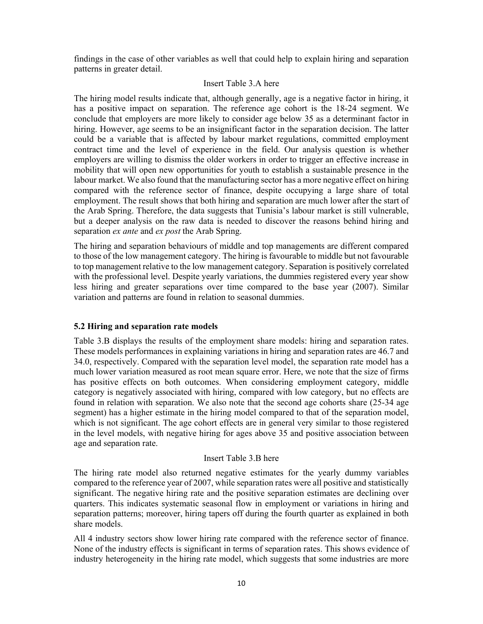findings in the case of other variables as well that could help to explain hiring and separation patterns in greater detail.

### Insert Table 3.A here

The hiring model results indicate that, although generally, age is a negative factor in hiring, it has a positive impact on separation. The reference age cohort is the 18-24 segment. We conclude that employers are more likely to consider age below 35 as a determinant factor in hiring. However, age seems to be an insignificant factor in the separation decision. The latter could be a variable that is affected by labour market regulations, committed employment contract time and the level of experience in the field. Our analysis question is whether employers are willing to dismiss the older workers in order to trigger an effective increase in mobility that will open new opportunities for youth to establish a sustainable presence in the labour market. We also found that the manufacturing sector has a more negative effect on hiring compared with the reference sector of finance, despite occupying a large share of total employment. The result shows that both hiring and separation are much lower after the start of the Arab Spring. Therefore, the data suggests that Tunisia's labour market is still vulnerable, but a deeper analysis on the raw data is needed to discover the reasons behind hiring and separation *ex ante* and *ex post* the Arab Spring.

The hiring and separation behaviours of middle and top managements are different compared to those of the low management category. The hiring is favourable to middle but not favourable to top management relative to the low management category. Separation is positively correlated with the professional level. Despite yearly variations, the dummies registered every year show less hiring and greater separations over time compared to the base year (2007). Similar variation and patterns are found in relation to seasonal dummies.

### **5.2 Hiring and separation rate models**

Table 3.B displays the results of the employment share models: hiring and separation rates. These models performances in explaining variations in hiring and separation rates are 46.7 and 34.0, respectively. Compared with the separation level model, the separation rate model has a much lower variation measured as root mean square error. Here, we note that the size of firms has positive effects on both outcomes. When considering employment category, middle category is negatively associated with hiring, compared with low category, but no effects are found in relation with separation. We also note that the second age cohorts share (25-34 age segment) has a higher estimate in the hiring model compared to that of the separation model, which is not significant. The age cohort effects are in general very similar to those registered in the level models, with negative hiring for ages above 35 and positive association between age and separation rate.

### Insert Table 3.B here

The hiring rate model also returned negative estimates for the yearly dummy variables compared to the reference year of 2007, while separation rates were all positive and statistically significant. The negative hiring rate and the positive separation estimates are declining over quarters. This indicates systematic seasonal flow in employment or variations in hiring and separation patterns; moreover, hiring tapers off during the fourth quarter as explained in both share models.

All 4 industry sectors show lower hiring rate compared with the reference sector of finance. None of the industry effects is significant in terms of separation rates. This shows evidence of industry heterogeneity in the hiring rate model, which suggests that some industries are more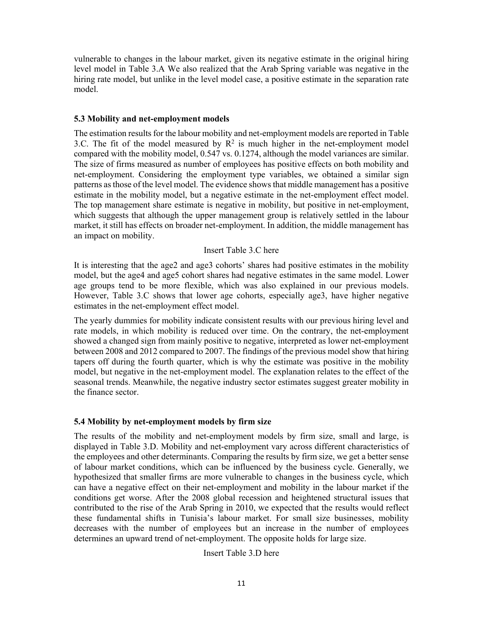vulnerable to changes in the labour market, given its negative estimate in the original hiring level model in Table 3.A We also realized that the Arab Spring variable was negative in the hiring rate model, but unlike in the level model case, a positive estimate in the separation rate model.

## **5.3 Mobility and net-employment models**

The estimation results for the labour mobility and net-employment models are reported in Table 3.C. The fit of the model measured by  $R^2$  is much higher in the net-employment model compared with the mobility model, 0.547 vs. 0.1274, although the model variances are similar. The size of firms measured as number of employees has positive effects on both mobility and net-employment. Considering the employment type variables, we obtained a similar sign patterns as those of the level model. The evidence shows that middle management has a positive estimate in the mobility model, but a negative estimate in the net-employment effect model. The top management share estimate is negative in mobility, but positive in net-employment, which suggests that although the upper management group is relatively settled in the labour market, it still has effects on broader net-employment. In addition, the middle management has an impact on mobility.

# Insert Table 3.C here

It is interesting that the age2 and age3 cohorts' shares had positive estimates in the mobility model, but the age4 and age5 cohort shares had negative estimates in the same model. Lower age groups tend to be more flexible, which was also explained in our previous models. However, Table 3.C shows that lower age cohorts, especially age3, have higher negative estimates in the net-employment effect model.

The yearly dummies for mobility indicate consistent results with our previous hiring level and rate models, in which mobility is reduced over time. On the contrary, the net-employment showed a changed sign from mainly positive to negative, interpreted as lower net-employment between 2008 and 2012 compared to 2007. The findings of the previous model show that hiring tapers off during the fourth quarter, which is why the estimate was positive in the mobility model, but negative in the net-employment model. The explanation relates to the effect of the seasonal trends. Meanwhile, the negative industry sector estimates suggest greater mobility in the finance sector.

# **5.4 Mobility by net-employment models by firm size**

The results of the mobility and net-employment models by firm size, small and large, is displayed in Table 3.D. Mobility and net-employment vary across different characteristics of the employees and other determinants. Comparing the results by firm size, we get a better sense of labour market conditions, which can be influenced by the business cycle. Generally, we hypothesized that smaller firms are more vulnerable to changes in the business cycle, which can have a negative effect on their net-employment and mobility in the labour market if the conditions get worse. After the 2008 global recession and heightened structural issues that contributed to the rise of the Arab Spring in 2010, we expected that the results would reflect these fundamental shifts in Tunisia's labour market. For small size businesses, mobility decreases with the number of employees but an increase in the number of employees determines an upward trend of net-employment. The opposite holds for large size.

### Insert Table 3.D here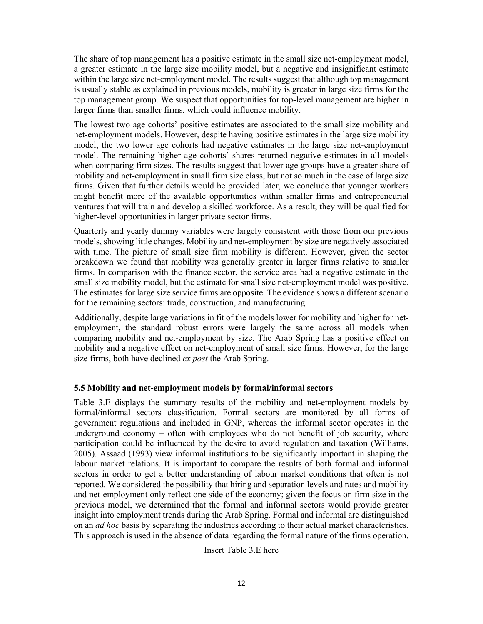The share of top management has a positive estimate in the small size net-employment model, a greater estimate in the large size mobility model, but a negative and insignificant estimate within the large size net-employment model. The results suggest that although top management is usually stable as explained in previous models, mobility is greater in large size firms for the top management group. We suspect that opportunities for top-level management are higher in larger firms than smaller firms, which could influence mobility.

The lowest two age cohorts' positive estimates are associated to the small size mobility and net-employment models. However, despite having positive estimates in the large size mobility model, the two lower age cohorts had negative estimates in the large size net-employment model. The remaining higher age cohorts' shares returned negative estimates in all models when comparing firm sizes. The results suggest that lower age groups have a greater share of mobility and net-employment in small firm size class, but not so much in the case of large size firms. Given that further details would be provided later, we conclude that younger workers might benefit more of the available opportunities within smaller firms and entrepreneurial ventures that will train and develop a skilled workforce. As a result, they will be qualified for higher-level opportunities in larger private sector firms.

Quarterly and yearly dummy variables were largely consistent with those from our previous models, showing little changes. Mobility and net-employment by size are negatively associated with time. The picture of small size firm mobility is different. However, given the sector breakdown we found that mobility was generally greater in larger firms relative to smaller firms. In comparison with the finance sector, the service area had a negative estimate in the small size mobility model, but the estimate for small size net-employment model was positive. The estimates for large size service firms are opposite. The evidence shows a different scenario for the remaining sectors: trade, construction, and manufacturing.

Additionally, despite large variations in fit of the models lower for mobility and higher for netemployment, the standard robust errors were largely the same across all models when comparing mobility and net-employment by size. The Arab Spring has a positive effect on mobility and a negative effect on net-employment of small size firms. However, for the large size firms, both have declined *ex post* the Arab Spring.

# **5.5 Mobility and net-employment models by formal/informal sectors**

Table 3.E displays the summary results of the mobility and net-employment models by formal/informal sectors classification. Formal sectors are monitored by all forms of government regulations and included in GNP, whereas the informal sector operates in the underground economy – often with employees who do not benefit of job security, where participation could be influenced by the desire to avoid regulation and taxation (Williams, 2005). Assaad (1993) view informal institutions to be significantly important in shaping the labour market relations. It is important to compare the results of both formal and informal sectors in order to get a better understanding of labour market conditions that often is not reported. We considered the possibility that hiring and separation levels and rates and mobility and net-employment only reflect one side of the economy; given the focus on firm size in the previous model, we determined that the formal and informal sectors would provide greater insight into employment trends during the Arab Spring. Formal and informal are distinguished on an *ad hoc* basis by separating the industries according to their actual market characteristics. This approach is used in the absence of data regarding the formal nature of the firms operation.

Insert Table 3.E here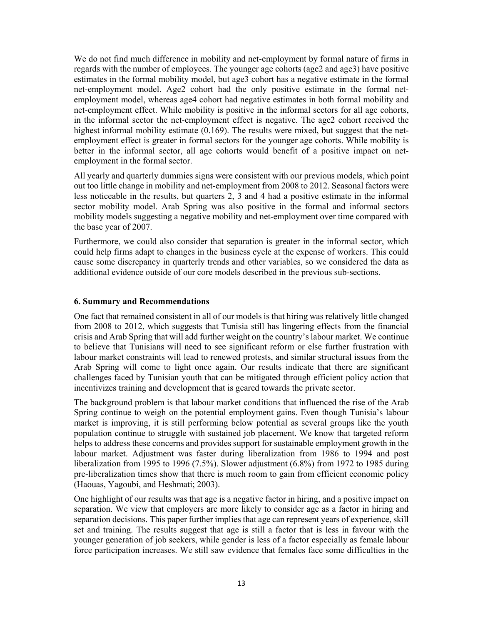We do not find much difference in mobility and net-employment by formal nature of firms in regards with the number of employees. The younger age cohorts (age2 and age3) have positive estimates in the formal mobility model, but age3 cohort has a negative estimate in the formal net-employment model. Age2 cohort had the only positive estimate in the formal netemployment model, whereas age4 cohort had negative estimates in both formal mobility and net-employment effect. While mobility is positive in the informal sectors for all age cohorts, in the informal sector the net-employment effect is negative. The age2 cohort received the highest informal mobility estimate (0.169). The results were mixed, but suggest that the netemployment effect is greater in formal sectors for the younger age cohorts. While mobility is better in the informal sector, all age cohorts would benefit of a positive impact on netemployment in the formal sector.

All yearly and quarterly dummies signs were consistent with our previous models, which point out too little change in mobility and net-employment from 2008 to 2012. Seasonal factors were less noticeable in the results, but quarters 2, 3 and 4 had a positive estimate in the informal sector mobility model. Arab Spring was also positive in the formal and informal sectors mobility models suggesting a negative mobility and net-employment over time compared with the base year of 2007.

Furthermore, we could also consider that separation is greater in the informal sector, which could help firms adapt to changes in the business cycle at the expense of workers. This could cause some discrepancy in quarterly trends and other variables, so we considered the data as additional evidence outside of our core models described in the previous sub-sections.

# **6. Summary and Recommendations**

One fact that remained consistent in all of our models is that hiring was relatively little changed from 2008 to 2012, which suggests that Tunisia still has lingering effects from the financial crisis and Arab Spring that will add further weight on the country's labour market. We continue to believe that Tunisians will need to see significant reform or else further frustration with labour market constraints will lead to renewed protests, and similar structural issues from the Arab Spring will come to light once again. Our results indicate that there are significant challenges faced by Tunisian youth that can be mitigated through efficient policy action that incentivizes training and development that is geared towards the private sector.

The background problem is that labour market conditions that influenced the rise of the Arab Spring continue to weigh on the potential employment gains. Even though Tunisia's labour market is improving, it is still performing below potential as several groups like the youth population continue to struggle with sustained job placement. We know that targeted reform helps to address these concerns and provides support for sustainable employment growth in the labour market. Adjustment was faster during liberalization from 1986 to 1994 and post liberalization from 1995 to 1996 (7.5%). Slower adjustment (6.8%) from 1972 to 1985 during pre-liberalization times show that there is much room to gain from efficient economic policy (Haouas, Yagoubi, and Heshmati; 2003).

One highlight of our results was that age is a negative factor in hiring, and a positive impact on separation. We view that employers are more likely to consider age as a factor in hiring and separation decisions. This paper further implies that age can represent years of experience, skill set and training. The results suggest that age is still a factor that is less in favour with the younger generation of job seekers, while gender is less of a factor especially as female labour force participation increases. We still saw evidence that females face some difficulties in the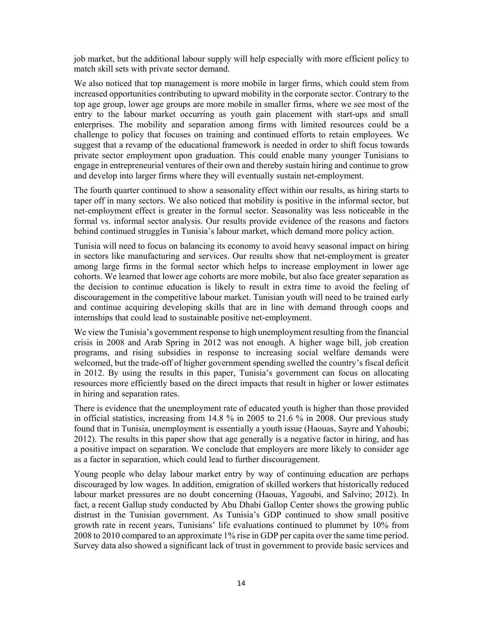job market, but the additional labour supply will help especially with more efficient policy to match skill sets with private sector demand.

We also noticed that top management is more mobile in larger firms, which could stem from increased opportunities contributing to upward mobility in the corporate sector. Contrary to the top age group, lower age groups are more mobile in smaller firms, where we see most of the entry to the labour market occurring as youth gain placement with start-ups and small enterprises. The mobility and separation among firms with limited resources could be a challenge to policy that focuses on training and continued efforts to retain employees. We suggest that a revamp of the educational framework is needed in order to shift focus towards private sector employment upon graduation. This could enable many younger Tunisians to engage in entrepreneurial ventures of their own and thereby sustain hiring and continue to grow and develop into larger firms where they will eventually sustain net-employment.

The fourth quarter continued to show a seasonality effect within our results, as hiring starts to taper off in many sectors. We also noticed that mobility is positive in the informal sector, but net-employment effect is greater in the formal sector. Seasonality was less noticeable in the formal vs. informal sector analysis. Our results provide evidence of the reasons and factors behind continued struggles in Tunisia's labour market, which demand more policy action.

Tunisia will need to focus on balancing its economy to avoid heavy seasonal impact on hiring in sectors like manufacturing and services. Our results show that net-employment is greater among large firms in the formal sector which helps to increase employment in lower age cohorts. We learned that lower age cohorts are more mobile, but also face greater separation as the decision to continue education is likely to result in extra time to avoid the feeling of discouragement in the competitive labour market. Tunisian youth will need to be trained early and continue acquiring developing skills that are in line with demand through coops and internships that could lead to sustainable positive net-employment.

We view the Tunisia's government response to high unemployment resulting from the financial crisis in 2008 and Arab Spring in 2012 was not enough. A higher wage bill, job creation programs, and rising subsidies in response to increasing social welfare demands were welcomed, but the trade-off of higher government spending swelled the country's fiscal deficit in 2012. By using the results in this paper, Tunisia's government can focus on allocating resources more efficiently based on the direct impacts that result in higher or lower estimates in hiring and separation rates.

There is evidence that the unemployment rate of educated youth is higher than those provided in official statistics, increasing from 14.8 % in 2005 to 21.6 % in 2008. Our previous study found that in Tunisia, unemployment is essentially a youth issue (Haouas, Sayre and Yahoubi; 2012). The results in this paper show that age generally is a negative factor in hiring, and has a positive impact on separation. We conclude that employers are more likely to consider age as a factor in separation, which could lead to further discouragement.

Young people who delay labour market entry by way of continuing education are perhaps discouraged by low wages. In addition, emigration of skilled workers that historically reduced labour market pressures are no doubt concerning (Haouas, Yagoubi, and Salvino; 2012). In fact, a recent Gallup study conducted by Abu Dhabi Gallop Center shows the growing public distrust in the Tunisian government. As Tunisia's GDP continued to show small positive growth rate in recent years, Tunisians' life evaluations continued to plummet by 10% from 2008 to 2010 compared to an approximate 1% rise in GDP per capita over the same time period. Survey data also showed a significant lack of trust in government to provide basic services and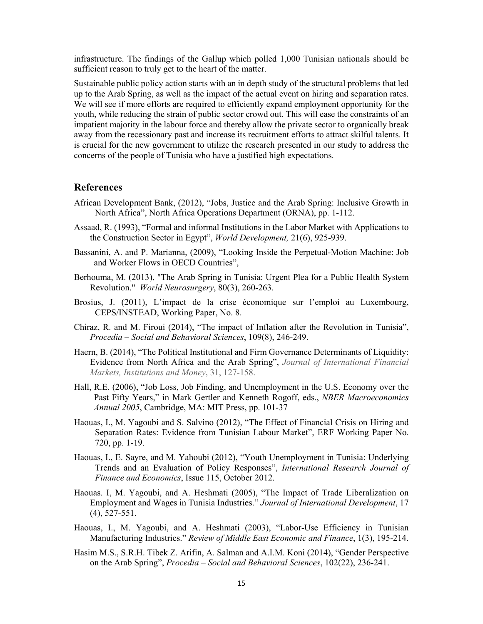infrastructure. The findings of the Gallup which polled 1,000 Tunisian nationals should be sufficient reason to truly get to the heart of the matter.

Sustainable public policy action starts with an in depth study of the structural problems that led up to the Arab Spring, as well as the impact of the actual event on hiring and separation rates. We will see if more efforts are required to efficiently expand employment opportunity for the youth, while reducing the strain of public sector crowd out. This will ease the constraints of an impatient majority in the labour force and thereby allow the private sector to organically break away from the recessionary past and increase its recruitment efforts to attract skilful talents. It is crucial for the new government to utilize the research presented in our study to address the concerns of the people of Tunisia who have a justified high expectations.

# **References**

- African Development Bank, (2012), "Jobs, Justice and the Arab Spring: Inclusive Growth in North Africa", North Africa Operations Department (ORNA), pp. 1-112.
- Assaad, R. (1993), "Formal and informal Institutions in the Labor Market with Applications to the Construction Sector in Egypt", *World Development,* 21(6), 925-939.
- Bassanini, A. and P. Marianna, (2009), "Looking Inside the Perpetual-Motion Machine: Job and Worker Flows in OECD Countries",
- Berhouma, M. (2013), "The Arab Spring in Tunisia: Urgent Plea for a Public Health System Revolution." *World Neurosurgery*, 80(3), 260-263.
- Brosius, J. (2011), L'impact de la crise économique sur l'emploi au Luxembourg, CEPS/INSTEAD, Working Paper, No. 8.
- Chiraz, R. and M. Firoui (2014), "The impact of Inflation after the Revolution in Tunisia", *Procedia – Social and Behavioral Sciences*, 109(8), 246-249.
- Haern, B. (2014), "The Political Institutional and Firm Governance Determinants of Liquidity: Evidence from North Africa and the Arab Spring", *Journal of International Financial Markets, Institutions and Money*, 31, 127-158.
- Hall, R.E. (2006), "Job Loss, Job Finding, and Unemployment in the U.S. Economy over the Past Fifty Years," in Mark Gertler and Kenneth Rogoff, eds., *NBER Macroeconomics Annual 2005*, Cambridge, MA: MIT Press, pp. 101-37
- Haouas, I., M. Yagoubi and S. Salvino (2012), "The Effect of Financial Crisis on Hiring and Separation Rates: Evidence from Tunisian Labour Market", ERF Working Paper No. 720, pp. 1-19.
- Haouas, I., E. Sayre, and M. Yahoubi (2012), "Youth Unemployment in Tunisia: Underlying Trends and an Evaluation of Policy Responses", *International Research Journal of Finance and Economics*, Issue 115, October 2012.
- Haouas. I, M. Yagoubi, and A. Heshmati (2005), "The Impact of Trade Liberalization on Employment and Wages in Tunisia Industries." *Journal of International Development*, 17 (4), 527-551.
- Haouas, I., M. Yagoubi, and A. Heshmati (2003), "Labor-Use Efficiency in Tunisian Manufacturing Industries." *Review of Middle East Economic and Finance*, 1(3), 195-214.
- Hasim M.S., S.R.H. Tibek Z. Arifin, A. Salman and A.I.M. Koni (2014), "Gender Perspective on the Arab Spring", *Procedia – Social and Behavioral Sciences*, 102(22), 236-241.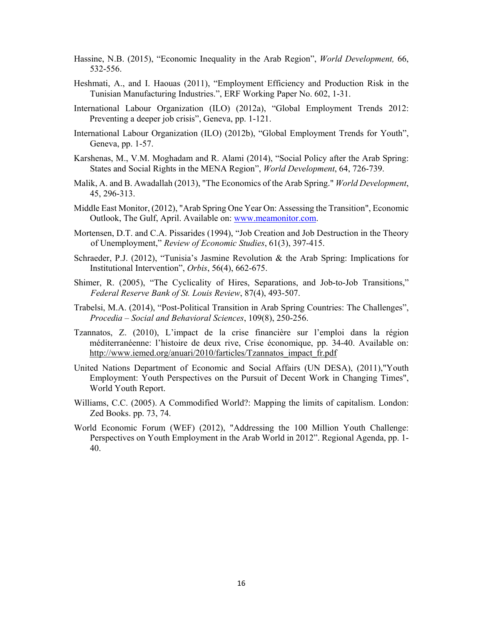- Hassine, N.B. (2015), "Economic Inequality in the Arab Region", *World Development,* 66, 532-556.
- Heshmati, A., and I. Haouas (2011), "Employment Efficiency and Production Risk in the Tunisian Manufacturing Industries.", ERF Working Paper No. 602, 1-31.
- International Labour Organization (ILO) (2012a), "Global Employment Trends 2012: Preventing a deeper job crisis", Geneva, pp. 1-121.
- International Labour Organization (ILO) (2012b), "Global Employment Trends for Youth", Geneva, pp. 1-57.
- Karshenas, M., V.M. Moghadam and R. Alami (2014), "Social Policy after the Arab Spring: States and Social Rights in the MENA Region", *World Development*, 64, 726-739.
- Malik, A. and B. Awadallah (2013), "The Economics of the Arab Spring." *World Development*, 45, 296-313.
- Middle East Monitor, (2012), "Arab Spring One Year On: Assessing the Transition", Economic Outlook, The Gulf, April. Available on: www.meamonitor.com.
- Mortensen, D.T. and C.A. Pissarides (1994), "Job Creation and Job Destruction in the Theory of Unemployment," *Review of Economic Studies*, 61(3), 397-415.
- Schraeder, P.J. (2012), "Tunisia's Jasmine Revolution & the Arab Spring: Implications for Institutional Intervention", *Orbis*, 56(4), 662-675.
- Shimer, R. (2005), "The Cyclicality of Hires, Separations, and Job-to-Job Transitions," *Federal Reserve Bank of St. Louis Review*, 87(4), 493-507.
- Trabelsi, M.A. (2014), "Post-Political Transition in Arab Spring Countries: The Challenges", *Procedia – Social and Behavioral Sciences*, 109(8), 250-256.
- Tzannatos, Z. (2010), L'impact de la crise financière sur l'emploi dans la région méditerranéenne: l'histoire de deux rive, Crise économique, pp. 34-40. Available on: http://www.iemed.org/anuari/2010/farticles/Tzannatos\_impact\_fr.pdf
- United Nations Department of Economic and Social Affairs (UN DESA), (2011),"Youth Employment: Youth Perspectives on the Pursuit of Decent Work in Changing Times", World Youth Report.
- Williams, C.C. (2005). A Commodified World?: Mapping the limits of capitalism. London: Zed Books. pp. 73, 74.
- World Economic Forum (WEF) (2012), "Addressing the 100 Million Youth Challenge: Perspectives on Youth Employment in the Arab World in 2012". Regional Agenda, pp. 1- 40.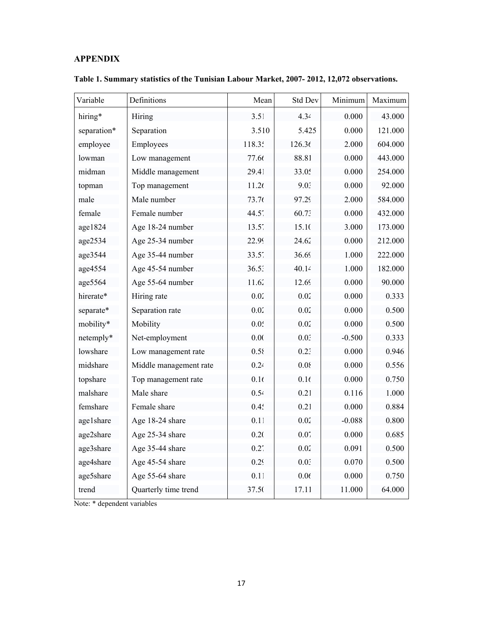# **APPENDIX**

| Variable    | Definitions            | Mean              | Std Dev | Minimum  | Maximum |
|-------------|------------------------|-------------------|---------|----------|---------|
| hiring*     | Hiring                 | $3.5^\circ$       | 4.34    | 0.000    | 43.000  |
| separation* | Separation             | 3.510             | 5.425   | 0.000    | 121.000 |
| employee    | Employees              | 118.3.            | 126.36  | 2.000    | 604.000 |
| lowman      | Low management         | 77.66             | 88.81   | 0.000    | 443.000 |
| midman      | Middle management      | 29.41             | 33.05   | 0.000    | 254.000 |
| topman      | Top management         | 11.26             | 9.03    | 0.000    | 92.000  |
| male        | Male number            | 73.76             | 97.29   | 2.000    | 584.000 |
| female      | Female number          | 44.5 <sup>′</sup> | 60.73   | 0.000    | 432.000 |
| age1824     | Age 18-24 number       | $13.5^{\circ}$    | 15.10   | 3.000    | 173.000 |
| age2534     | Age 25-34 number       | 22.99             | 24.62   | 0.000    | 212.000 |
| age3544     | Age 35-44 number       | $33.5^{\circ}$    | 36.69   | 1.000    | 222.000 |
| age4554     | Age 45-54 number       | $36.5^{\circ}$    | 40.14   | 1.000    | 182.000 |
| age5564     | Age 55-64 number       | 11.62             | 12.69   | 0.000    | 90.000  |
| hirerate*   | Hiring rate            | 0.02              | 0.02    | 0.000    | 0.333   |
| separate*   | Separation rate        | 0.02              | 0.02    | 0.000    | 0.500   |
| mobility*   | Mobility               | $0.0^{4}$         | 0.02    | 0.000    | 0.500   |
| netemply*   | Net-employment         | 0.0(              | 0.02    | $-0.500$ | 0.333   |
| lowshare    | Low management rate    | 0.58              | 0.23    | 0.000    | 0.946   |
| midshare    | Middle management rate | 0.24              | 0.08    | 0.000    | 0.556   |
| topshare    | Top management rate    | 0.16              | 0.16    | 0.000    | 0.750   |
| malshare    | Male share             | 0.54              | 0.21    | 0.116    | 1.000   |
| femshare    | Female share           | 0.4 <sup>2</sup>  | 0.21    | 0.000    | 0.884   |
| age1share   | Age 18-24 share        | 0.1               | 0.02    | $-0.088$ | 0.800   |
| age2share   | Age 25-34 share        | 0.20              | 0.07    | 0.000    | 0.685   |
| age3share   | Age 35-44 share        | 0.2 <sup>′</sup>  | 0.02    | 0.091    | 0.500   |
| age4share   | Age 45-54 share        | 0.29              | 0.02    | 0.070    | 0.500   |
| age5share   | Age 55-64 share        | 0.1               | 0.06    | 0.000    | 0.750   |
| trend       | Quarterly time trend   | 37.50             | 17.11   | 11.000   | 64.000  |

**Table 1. Summary statistics of the Tunisian Labour Market, 2007- 2012, 12,072 observations.**

Note: \* dependent variables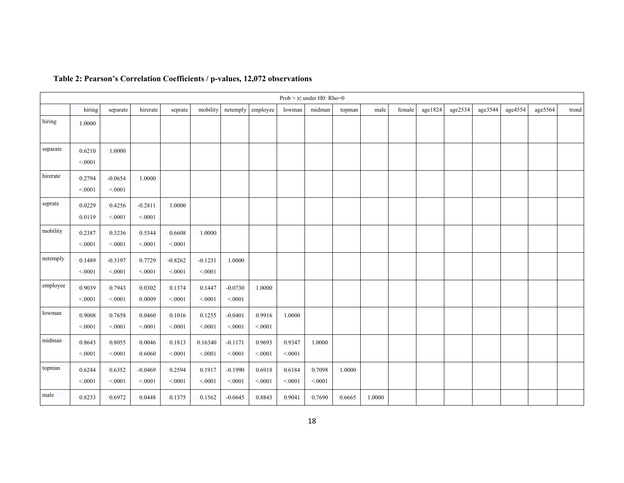|          |                  |                     |                      |                     |                     |                     |                   |                  | Prob > $ r $ under H0: Rho=0 |        |        |        |         |         |         |         |         |       |
|----------|------------------|---------------------|----------------------|---------------------|---------------------|---------------------|-------------------|------------------|------------------------------|--------|--------|--------|---------|---------|---------|---------|---------|-------|
|          | hiring           | separate            | hirerate             | seprate             | mobility            | netemply            | employee          | lowman           | midman                       | topman | male   | female | age1824 | age2534 | age3544 | age4554 | age5564 | trend |
| hiring   | 1.0000           |                     |                      |                     |                     |                     |                   |                  |                              |        |        |        |         |         |         |         |         |       |
| separate | 0.6210<br>< 0001 | 1.0000              |                      |                     |                     |                     |                   |                  |                              |        |        |        |         |         |         |         |         |       |
| hirerate | 0.2794<br>< 0001 | $-0.0654$<br>< 0001 | 1.0000               |                     |                     |                     |                   |                  |                              |        |        |        |         |         |         |         |         |       |
| seprate  | 0.0229<br>0.0119 | 0.4256<br>< 0001    | $-0.2811$<br>< .0001 | 1.0000              |                     |                     |                   |                  |                              |        |        |        |         |         |         |         |         |       |
| mobility | 0.2387<br>< 0001 | 0.3236<br>< 0001    | 0.5344<br>< 0001     | 0.6608<br>< 0001    | 1.0000              |                     |                   |                  |                              |        |        |        |         |         |         |         |         |       |
| netemply | 0.1489<br>< 0001 | $-0.3197$<br>< 0001 | 0.7729<br>< 0001     | $-0.8262$<br>< 0001 | $-0.1231$<br>< 0001 | 1.0000              |                   |                  |                              |        |        |        |         |         |         |         |         |       |
| employee | 0.9039<br>< 0001 | 0.7943<br>< 0001    | 0.0302<br>0.0009     | 0.1374<br>< 0001    | 0.1447<br>< 0.001   | $-0.0730$<br>< 0001 | 1.0000            |                  |                              |        |        |        |         |         |         |         |         |       |
| lowman   | 0.9008<br>< 0001 | 0.7658<br>< 0001    | 0.0460<br>< 0001     | 0.1016<br>< 0001    | 0.1255<br>< 0001    | $-0.0401$<br>< 0001 | 0.9916<br>< 0001  | 1.0000           |                              |        |        |        |         |         |         |         |         |       |
| midman   | 0.8643<br>< 0001 | 0.8055<br>< 0001    | 0.0046<br>0.6060     | 0.1813<br>< 0001    | 0.16340<br>< 0001   | $-0.1171$<br>< 0001 | 0.9693<br>< 0001  | 0.9347<br>< 0001 | 1.0000                       |        |        |        |         |         |         |         |         |       |
| topman   | 0.6244<br>< 0001 | 0.6352<br>< 0001    | $-0.0469$<br>< 0001  | 0.2594<br>< 0001    | 0.1917<br>< 0001    | $-0.1990$<br>< 0001 | 0.6918<br>< 0.001 | 0.6184<br>< 0001 | 0.7098<br>< 0001             | 1.0000 |        |        |         |         |         |         |         |       |
| male     | 0.8233           | 0.6972              | 0.0448               | 0.1375              | 0.1562              | $-0.0645$           | 0.8843            | 0.9041           | 0.7690                       | 0.6665 | 1.0000 |        |         |         |         |         |         |       |

#### **Table 2: Pearson's Correlation Coefficients / p-values, 12,072 observations**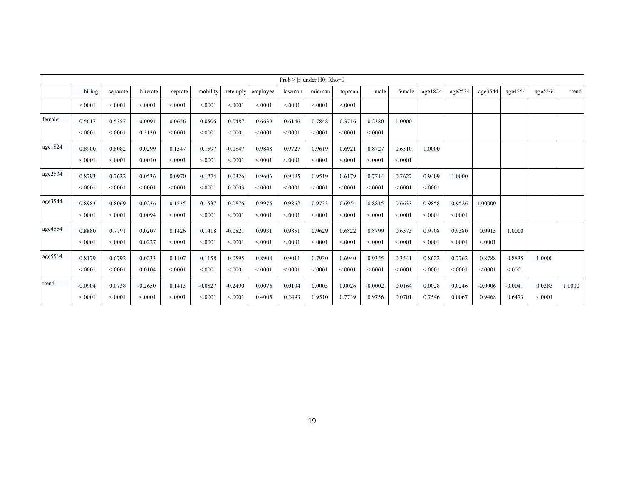|            |                     |                  |                     |                  |                     |                     |                  |                  | Prob $>$  r  under H0: Rho=0 |                  |                     |                  |                  |                  |                     |                     |                  |        |
|------------|---------------------|------------------|---------------------|------------------|---------------------|---------------------|------------------|------------------|------------------------------|------------------|---------------------|------------------|------------------|------------------|---------------------|---------------------|------------------|--------|
|            | hiring              | separate         | hirerate            | seprate          | mobility            | netemply            | employee         | lowman           | midman                       | topman           | male                | female           | age1824          | age2534          | age3544             | age4554             | age5564          | trend  |
|            | < 0001              | < 0001           | < 0001              | < 0001           | < 0001              | < 0001              | < 0001           | < 0001           | < 0001                       | < 0001           |                     |                  |                  |                  |                     |                     |                  |        |
| female     | 0.5617<br>< 0001    | 0.5357<br>< 0001 | $-0.0091$<br>0.3130 | 0.0656<br>< 0001 | 0.0506<br>< 0001    | $-0.0487$<br>< 0001 | 0.6639<br>< 0001 | 0.6146<br>< 0001 | 0.7848<br>< 0001             | 0.3716<br>< 0001 | 0.2380<br>< 0001    | 1.0000           |                  |                  |                     |                     |                  |        |
| age1824    | 0.8900<br>< 0001    | 0.8082<br>< 0001 | 0.0299<br>0.0010    | 0.1547<br>< 0001 | 0.1597<br>< 0001    | $-0.0847$<br>< 0001 | 0.9848<br>< 0001 | 0.9727<br>< 0001 | 0.9619<br>< 0001             | 0.6921<br>< 0001 | 0.8727<br>< 0001    | 0.6510<br>< 0001 | 1.0000           |                  |                     |                     |                  |        |
| age2534    | 0.8793<br>< 0001    | 0.7622<br>< 0001 | 0.0536<br>< 0001    | 0.0970<br>< 0001 | 0.1274<br>< 0001    | $-0.0326$<br>0.0003 | 0.9606<br>< 0001 | 0.9495<br>< 0001 | 0.9519<br>< 0001             | 0.6179<br>< 0001 | 0.7714<br>< 0001    | 0.7627<br>< 0001 | 0.9409<br>< 0001 | 1.0000           |                     |                     |                  |        |
| age3544    | 0.8983<br>< 0001    | 0.8069<br>< 0001 | 0.0236<br>0.0094    | 0.1535<br>< 0001 | 0.1537<br>< 0001    | $-0.0876$<br>< 0001 | 0.9975<br>< 0001 | 0.9862<br>< 0001 | 0.9733<br>< 0.001            | 0.6954<br>< 0001 | 0.8815<br>< 0001    | 0.6633<br>< 0001 | 0.9858<br>< 0001 | 0.9526<br>< 0001 | 1.00000             |                     |                  |        |
| age4554    | 0.8880<br>< 0001    | 0.7791<br>< 0001 | 0.0207<br>0.0227    | 0.1426<br>< 0001 | 0.1418<br>< 0001    | $-0.0821$<br>< 0001 | 0.9931<br>< 0001 | 0.9851<br>< 0001 | 0.9629<br>< 0001             | 0.6822<br>< 0001 | 0.8799<br>< 0001    | 0.6573<br>< 0001 | 0.9708<br>< 0001 | 0.9380<br>< 0001 | 0.9915<br>< 0001    | 1.0000              |                  |        |
| age $5564$ | 0.8179<br>< 0001    | 0.6792<br>< 0001 | 0.0233<br>0.0104    | 0.1107<br>< 0001 | 0.1158<br>< 0001    | $-0.0595$<br>< 0001 | 0.8904<br>< 0001 | 0.9011<br>< 0001 | 0.7930<br>< 0001             | 0.6940<br>< 0001 | 0.9355<br>< 0001    | 0.3541<br>< 0001 | 0.8622<br>< 0001 | 0.7762<br>< 0001 | 0.8788<br>< 0001    | 0.8835<br>< 0001    | 1.0000           |        |
| trend      | $-0.0904$<br>< 0001 | 0.0738<br>< 0001 | $-0.2650$<br>< 0001 | 0.1413<br>< 0001 | $-0.0827$<br>< 0001 | $-0.2490$<br>< 0001 | 0.0076<br>0.4005 | 0.0104<br>0.2493 | 0.0005<br>0.9510             | 0.0026<br>0.7739 | $-0.0002$<br>0.9756 | 0.0164<br>0.0701 | 0.0028<br>0.7546 | 0.0246<br>0.0067 | $-0.0006$<br>0.9468 | $-0.0041$<br>0.6473 | 0.0383<br>< 0001 | 1.0000 |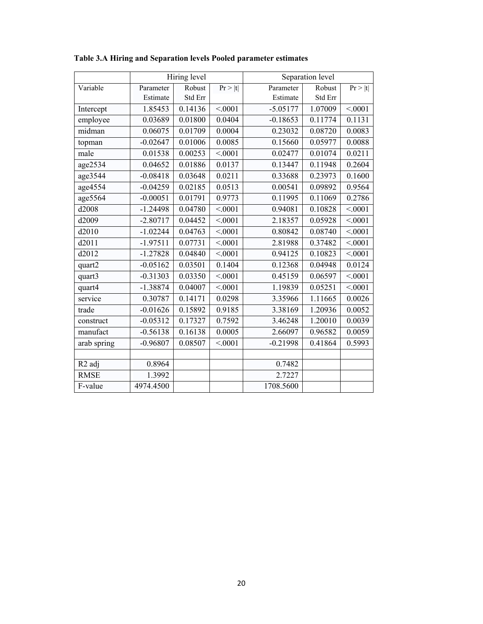|                    |            | Hiring level |         |            | Separation level |         |
|--------------------|------------|--------------|---------|------------|------------------|---------|
| Variable           | Parameter  | Robust       | Pr >  t | Parameter  | Robust           | Pr >  t |
|                    | Estimate   | Std Err      |         | Estimate   | Std Err          |         |
| Intercept          | 1.85453    | 0.14136      | < 0001  | $-5.05177$ | 1.07009          | < 0001  |
| employee           | 0.03689    | 0.01800      | 0.0404  | $-0.18653$ | 0.11774          | 0.1131  |
| midman             | 0.06075    | 0.01709      | 0.0004  | 0.23032    | 0.08720          | 0.0083  |
| topman             | $-0.02647$ | 0.01006      | 0.0085  | 0.15660    | 0.05977          | 0.0088  |
| male               | 0.01538    | 0.00253      | < 0.001 | 0.02477    | 0.01074          | 0.0211  |
| age2534            | 0.04652    | 0.01886      | 0.0137  | 0.13447    | 0.11948          | 0.2604  |
| age3544            | $-0.08418$ | 0.03648      | 0.0211  | 0.33688    | 0.23973          | 0.1600  |
| age4554            | $-0.04259$ | 0.02185      | 0.0513  | 0.00541    | 0.09892          | 0.9564  |
| age5564            | $-0.00051$ | 0.01791      | 0.9773  | 0.11995    | 0.11069          | 0.2786  |
| d2008              | $-1.24498$ | 0.04780      | < 0001  | 0.94081    | 0.10828          | < 0001  |
| d2009              | $-2.80717$ | 0.04452      | < 0001  | 2.18357    | 0.05928          | < 0001  |
| d2010              | $-1.02244$ | 0.04763      | < 0001  | 0.80842    | 0.08740          | < 0001  |
| d2011              | $-1.97511$ | 0.07731      | < 0001  | 2.81988    | 0.37482          | < 0001  |
| d2012              | $-1.27828$ | 0.04840      | < 0.001 | 0.94125    | 0.10823          | < 0.001 |
| quart2             | $-0.05162$ | 0.03501      | 0.1404  | 0.12368    | 0.04948          | 0.0124  |
| quart3             | $-0.31303$ | 0.03350      | < 0001  | 0.45159    | 0.06597          | < 0001  |
| quart4             | $-1.38874$ | 0.04007      | < 0001  | 1.19839    | 0.05251          | < 0001  |
| service            | 0.30787    | 0.14171      | 0.0298  | 3.35966    | 1.11665          | 0.0026  |
| trade              | $-0.01626$ | 0.15892      | 0.9185  | 3.38169    | 1.20936          | 0.0052  |
| construct          | $-0.05312$ | 0.17327      | 0.7592  | 3.46248    | 1.20010          | 0.0039  |
| manufact           | $-0.56138$ | 0.16138      | 0.0005  | 2.66097    | 0.96582          | 0.0059  |
| arab spring        | $-0.96807$ | 0.08507      | < .0001 | $-0.21998$ | 0.41864          | 0.5993  |
|                    |            |              |         |            |                  |         |
| R <sub>2</sub> adj | 0.8964     |              |         | 0.7482     |                  |         |
| <b>RMSE</b>        | 1.3992     |              |         | 2.7227     |                  |         |
| F-value            | 4974.4500  |              |         | 1708.5600  |                  |         |

**Table 3.A Hiring and Separation levels Pooled parameter estimates**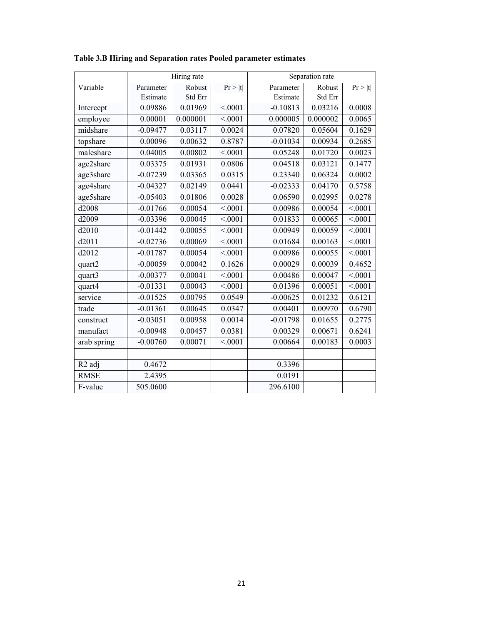|                    |            | Hiring rate |         |            | Separation rate |         |
|--------------------|------------|-------------|---------|------------|-----------------|---------|
| Variable           | Parameter  | Robust      | Pr >  t | Parameter  | Robust          | Pr >  t |
|                    | Estimate   | Std Err     |         | Estimate   | Std Err         |         |
| Intercept          | 0.09886    | 0.01969     | < 0001  | $-0.10813$ | 0.03216         | 0.0008  |
| employee           | 0.00001    | 0.000001    | < 0001  | 0.000005   | 0.000002        | 0.0065  |
| midshare           | $-0.09477$ | 0.03117     | 0.0024  | 0.07820    | 0.05604         | 0.1629  |
| topshare           | 0.00096    | 0.00632     | 0.8787  | $-0.01034$ | 0.00934         | 0.2685  |
| maleshare          | 0.04005    | 0.00802     | < 0001  | 0.05248    | 0.01720         | 0.0023  |
| age2share          | 0.03375    | 0.01931     | 0.0806  | 0.04518    | 0.03121         | 0.1477  |
| age3share          | $-0.07239$ | 0.03365     | 0.0315  | 0.23340    | 0.06324         | 0.0002  |
| age4share          | $-0.04327$ | 0.02149     | 0.0441  | $-0.02333$ | 0.04170         | 0.5758  |
| age5share          | $-0.05403$ | 0.01806     | 0.0028  | 0.06590    | 0.02995         | 0.0278  |
| d2008              | $-0.01766$ | 0.00054     | < 0001  | 0.00986    | 0.00054         | < 0001  |
| d2009              | $-0.03396$ | 0.00045     | < 0001  | 0.01833    | 0.00065         | < .0001 |
| d2010              | $-0.01442$ | 0.00055     | < 0001  | 0.00949    | 0.00059         | < 0001  |
| d2011              | $-0.02736$ | 0.00069     | < 0.001 | 0.01684    | 0.00163         | < .0001 |
| d2012              | $-0.01787$ | 0.00054     | < 0001  | 0.00986    | 0.00055         | < 0001  |
| quart2             | $-0.00059$ | 0.00042     | 0.1626  | 0.00029    | 0.00039         | 0.4652  |
| quart3             | $-0.00377$ | 0.00041     | < 0.001 | 0.00486    | 0.00047         | < .0001 |
| quart4             | $-0.01331$ | 0.00043     | < 0001  | 0.01396    | 0.00051         | < .0001 |
| service            | $-0.01525$ | 0.00795     | 0.0549  | $-0.00625$ | 0.01232         | 0.6121  |
| trade              | $-0.01361$ | 0.00645     | 0.0347  | 0.00401    | 0.00970         | 0.6790  |
| construct          | $-0.03051$ | 0.00958     | 0.0014  | $-0.01798$ | 0.01655         | 0.2775  |
| manufact           | $-0.00948$ | 0.00457     | 0.0381  | 0.00329    | 0.00671         | 0.6241  |
| arab spring        | $-0.00760$ | 0.00071     | < 0001  | 0.00664    | 0.00183         | 0.0003  |
|                    |            |             |         |            |                 |         |
| R <sub>2</sub> adj | 0.4672     |             |         | 0.3396     |                 |         |
| <b>RMSE</b>        | 2.4395     |             |         | 0.0191     |                 |         |
| F-value            | 505.0600   |             |         | 296.6100   |                 |         |

**Table 3.B Hiring and Separation rates Pooled parameter estimates**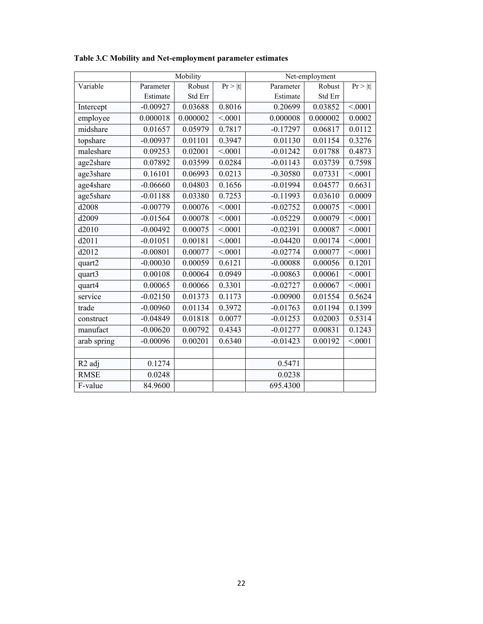|                    |            | Mobility |         | Net-employment |          |         |  |  |  |
|--------------------|------------|----------|---------|----------------|----------|---------|--|--|--|
| Variable           | Parameter  | Robust   | Pr >  t | Parameter      | Robust   | Pr >  t |  |  |  |
|                    | Estimate   | Std Err  |         | Estimate       | Std Err  |         |  |  |  |
| Intercept          | $-0.00927$ | 0.03688  | 0.8016  | 0.20699        | 0.03852  | < 0001  |  |  |  |
| employee           | 0.000018   | 0.000002 | < 0001  | 0.000008       | 0.000002 | 0.0002  |  |  |  |
| midshare           | 0.01657    | 0.05979  | 0.7817  | $-0.17297$     | 0.06817  | 0.0112  |  |  |  |
| topshare           | $-0.00937$ | 0.01101  | 0.3947  | 0.01130        | 0.01154  | 0.3276  |  |  |  |
| maleshare          | 0.09253    | 0.02001  | < 0001  | $-0.01242$     | 0.01788  | 0.4873  |  |  |  |
| age2share          | 0.07892    | 0.03599  | 0.0284  | $-0.01143$     | 0.03739  | 0.7598  |  |  |  |
| age3share          | 0.16101    | 0.06993  | 0.0213  | $-0.30580$     | 0.07331  | < 0001  |  |  |  |
| age4share          | $-0.06660$ | 0.04803  | 0.1656  | $-0.01994$     | 0.04577  | 0.6631  |  |  |  |
| age5share          | $-0.01188$ | 0.03380  | 0.7253  | $-0.11993$     | 0.03610  | 0.0009  |  |  |  |
| d2008              | $-0.00779$ | 0.00076  | < 0001  | $-0.02752$     | 0.00075  | < .0001 |  |  |  |
| d2009              | $-0.01564$ | 0.00078  | < 0001  | $-0.05229$     | 0.00079  | < .0001 |  |  |  |
| d2010              | $-0.00492$ | 0.00075  | < 0001  | $-0.02391$     | 0.00087  | < 0001  |  |  |  |
| d2011              | $-0.01051$ | 0.00181  | < 0001  | $-0.04420$     | 0.00174  | < .0001 |  |  |  |
| d2012              | $-0.00801$ | 0.00077  | < 0001  | $-0.02774$     | 0.00077  | < 0001  |  |  |  |
| quart2             | $-0.00030$ | 0.00059  | 0.6121  | $-0.00088$     | 0.00056  | 0.1201  |  |  |  |
| quart3             | 0.00108    | 0.00064  | 0.0949  | $-0.00863$     | 0.00061  | < 0001  |  |  |  |
| quart4             | 0.00065    | 0.00066  | 0.3301  | $-0.02727$     | 0.00067  | < 0001  |  |  |  |
| service            | $-0.02150$ | 0.01373  | 0.1173  | $-0.00900$     | 0.01554  | 0.5624  |  |  |  |
| trade              | $-0.00960$ | 0.01134  | 0.3972  | $-0.01763$     | 0.01194  | 0.1399  |  |  |  |
| construct          | $-0.04849$ | 0.01818  | 0.0077  | $-0.01253$     | 0.02003  | 0.5314  |  |  |  |
| manufact           | $-0.00620$ | 0.00792  | 0.4343  | $-0.01277$     | 0.00831  | 0.1243  |  |  |  |
| arab spring        | $-0.00096$ | 0.00201  | 0.6340  | $-0.01423$     | 0.00192  | < 0001  |  |  |  |
|                    |            |          |         |                |          |         |  |  |  |
| R <sub>2</sub> adj | 0.1274     |          |         | 0.5471         |          |         |  |  |  |
| <b>RMSE</b>        | 0.0248     |          |         | 0.0238         |          |         |  |  |  |
| F-value            | 84.9600    |          |         | 695.4300       |          |         |  |  |  |

**Table 3.C Mobility and Net-employment parameter estimates**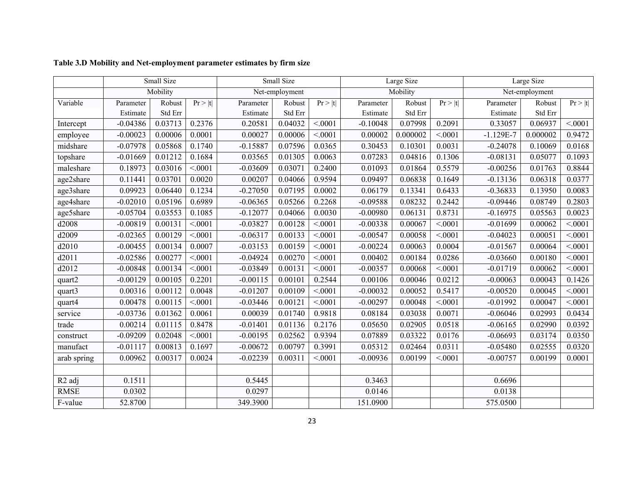|                    | Small Size |          |         |            | Small Size     |         |            | Large Size |         | Large Size    |                |         |  |
|--------------------|------------|----------|---------|------------|----------------|---------|------------|------------|---------|---------------|----------------|---------|--|
|                    |            | Mobility |         |            | Net-employment |         |            | Mobility   |         |               | Net-employment |         |  |
| Variable           | Parameter  | Robust   | Pr >  t | Parameter  | Robust         | Pr >  t | Parameter  | Robust     | Pr >  t | Parameter     | Robust         | Pr >  t |  |
|                    | Estimate   | Std Err  |         | Estimate   | Std Err        |         | Estimate   | Std Err    |         | Estimate      | Std Err        |         |  |
| Intercept          | $-0.04386$ | 0.03713  | 0.2376  | 0.20581    | 0.04032        | < 0.001 | $-0.10048$ | 0.07998    | 0.2091  | 0.33057       | 0.06937        | < 0001  |  |
| employee           | $-0.00023$ | 0.00006  | 0.0001  | 0.00027    | 0.00006        | < 0001  | 0.00002    | 0.000002   | < 0001  | $-1.129E - 7$ | 0.000002       | 0.9472  |  |
| midshare           | $-0.07978$ | 0.05868  | 0.1740  | $-0.15887$ | 0.07596        | 0.0365  | 0.30453    | 0.10301    | 0.0031  | $-0.24078$    | 0.10069        | 0.0168  |  |
| topshare           | $-0.01669$ | 0.01212  | 0.1684  | 0.03565    | 0.01305        | 0.0063  | 0.07283    | 0.04816    | 0.1306  | $-0.08131$    | 0.05077        | 0.1093  |  |
| maleshare          | 0.18973    | 0.03016  | < 0001  | $-0.03609$ | 0.03071        | 0.2400  | 0.01093    | 0.01864    | 0.5579  | $-0.00256$    | 0.01763        | 0.8844  |  |
| age2share          | 0.11441    | 0.03701  | 0.0020  | 0.00207    | 0.04066        | 0.9594  | 0.09497    | 0.06838    | 0.1649  | $-0.13136$    | 0.06318        | 0.0377  |  |
| age3share          | 0.09923    | 0.06440  | 0.1234  | $-0.27050$ | 0.07195        | 0.0002  | 0.06179    | 0.13341    | 0.6433  | $-0.36833$    | 0.13950        | 0.0083  |  |
| age4share          | $-0.02010$ | 0.05196  | 0.6989  | $-0.06365$ | 0.05266        | 0.2268  | $-0.09588$ | 0.08232    | 0.2442  | $-0.09446$    | 0.08749        | 0.2803  |  |
| age5share          | $-0.05704$ | 0.03553  | 0.1085  | $-0.12077$ | 0.04066        | 0.0030  | $-0.00980$ | 0.06131    | 0.8731  | $-0.16975$    | 0.05563        | 0.0023  |  |
| d2008              | $-0.00819$ | 0.00131  | < 0001  | $-0.03827$ | 0.00128        | < 0001  | $-0.00338$ | 0.00067    | < 0001  | $-0.01699$    | 0.00062        | < 0001  |  |
| d2009              | $-0.02365$ | 0.00129  | < 0001  | $-0.06317$ | 0.00133        | < 0001  | $-0.00547$ | 0.00058    | < 0001  | $-0.04023$    | 0.00051        | < 0001  |  |
| d2010              | $-0.00455$ | 0.00134  | 0.0007  | $-0.03153$ | 0.00159        | < 0001  | $-0.00224$ | 0.00063    | 0.0004  | $-0.01567$    | 0.00064        | < 0001  |  |
| d2011              | $-0.02586$ | 0.00277  | < 0001  | $-0.04924$ | 0.00270        | < 0001  | 0.00402    | 0.00184    | 0.0286  | $-0.03660$    | 0.00180        | < 0001  |  |
| d2012              | $-0.00848$ | 0.00134  | < 0001  | $-0.03849$ | 0.00131        | < 0001  | $-0.00357$ | 0.00068    | < 0001  | $-0.01719$    | 0.00062        | < 0001  |  |
| quart2             | $-0.00129$ | 0.00105  | 0.2201  | $-0.00115$ | 0.00101        | 0.2544  | 0.00106    | 0.00046    | 0.0212  | $-0.00063$    | 0.00043        | 0.1426  |  |
| quart3             | 0.00316    | 0.00112  | 0.0048  | $-0.01207$ | 0.00109        | < 0.001 | $-0.00032$ | 0.00052    | 0.5417  | $-0.00520$    | 0.00045        | < 0001  |  |
| quart4             | 0.00478    | 0.00115  | < 0.001 | $-0.03446$ | 0.00121        | < 0.001 | $-0.00297$ | 0.00048    | < 0001  | $-0.01992$    | 0.00047        | < 0001  |  |
| service            | $-0.03736$ | 0.01362  | 0.0061  | 0.00039    | 0.01740        | 0.9818  | 0.08184    | 0.03038    | 0.0071  | $-0.06046$    | 0.02993        | 0.0434  |  |
| trade              | 0.00214    | 0.01115  | 0.8478  | $-0.01401$ | 0.01136        | 0.2176  | 0.05650    | 0.02905    | 0.0518  | $-0.06165$    | 0.02990        | 0.0392  |  |
| construct          | $-0.09209$ | 0.02048  | < 0001  | $-0.00195$ | 0.02562        | 0.9394  | 0.07889    | 0.03322    | 0.0176  | $-0.06693$    | 0.03174        | 0.0350  |  |
| manufact           | $-0.01117$ | 0.00813  | 0.1697  | $-0.00672$ | 0.00797        | 0.3991  | 0.05312    | 0.02464    | 0.0311  | $-0.05480$    | 0.02555        | 0.0320  |  |
| arab spring        | 0.00962    | 0.00317  | 0.0024  | $-0.02239$ | 0.00311        | < 0001  | $-0.00936$ | 0.00199    | < 0001  | $-0.00757$    | 0.00199        | 0.0001  |  |
|                    |            |          |         |            |                |         |            |            |         |               |                |         |  |
| R <sub>2</sub> adj | 0.1511     |          |         | 0.5445     |                |         | 0.3463     |            |         | 0.6696        |                |         |  |
| <b>RMSE</b>        | 0.0302     |          |         | 0.0297     |                |         | 0.0146     |            |         | 0.0138        |                |         |  |
| F-value            | 52.8700    |          |         | 349.3900   |                |         | 151.0900   |            |         | 575.0500      |                |         |  |

# **Table 3.D Mobility and Net-employment parameter estimates by firm size**